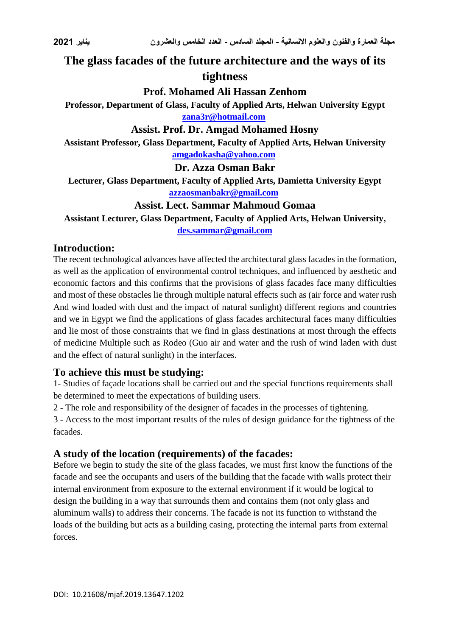# **The glass facades of the future architecture and the ways of its tightness**

### **Prof. Mohamed Ali Hassan Zenhom**

**Professor, Department of Glass, Faculty of Applied Arts, Helwan University Egypt [zana3r@hotmail.com](mailto:zana3r@hotmail.com)**

# **Assist. Prof. Dr. Amgad Mohamed Hosny**

**Assistant Professor, Glass Department, Faculty of Applied Arts, Helwan University [amgadokasha@yahoo.com](mailto:amgadokasha@yahoo.com)**

**Dr. Azza Osman Bakr**

**Lecturer, Glass Department, Faculty of Applied Arts, Damietta University Egypt [azzaosmanbakr@gmail.com](mailto:azzaosmanbakr@gmail.com)**

# **Assist. Lect. Sammar Mahmoud Gomaa**

**Assistant Lecturer, Glass Department, Faculty of Applied Arts, Helwan University, [des.sammar@gmail.com](mailto:des.sammar@gmail.com)**

#### **Introduction:**

The recent technological advances have affected the architectural glass facades in the formation, as well as the application of environmental control techniques, and influenced by aesthetic and economic factors and this confirms that the provisions of glass facades face many difficulties and most of these obstacles lie through multiple natural effects such as (air force and water rush And wind loaded with dust and the impact of natural sunlight) different regions and countries and we in Egypt we find the applications of glass facades architectural faces many difficulties and lie most of those constraints that we find in glass destinations at most through the effects of medicine Multiple such as Rodeo (Guo air and water and the rush of wind laden with dust and the effect of natural sunlight) in the interfaces.

#### **To achieve this must be studying:**

1- Studies of façade locations shall be carried out and the special functions requirements shall be determined to meet the expectations of building users.

2 - The role and responsibility of the designer of facades in the processes of tightening.

3 - Access to the most important results of the rules of design guidance for the tightness of the facades.

#### **A study of the location (requirements) of the facades:**

Before we begin to study the site of the glass facades, we must first know the functions of the facade and see the occupants and users of the building that the facade with walls protect their internal environment from exposure to the external environment if it would be logical to design the building in a way that surrounds them and contains them (not only glass and aluminum walls) to address their concerns. The facade is not its function to withstand the loads of the building but acts as a building casing, protecting the internal parts from external forces.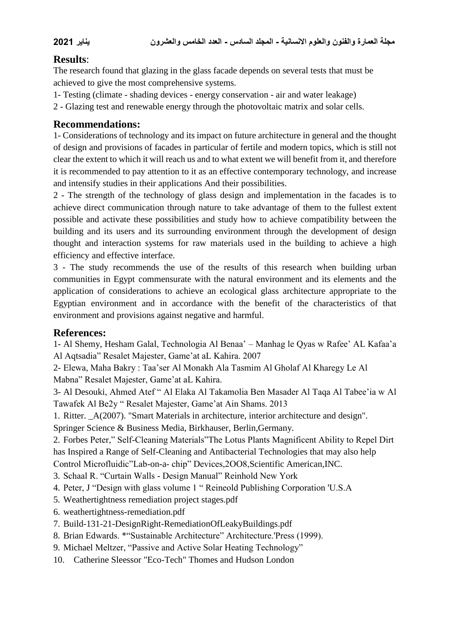# **Results**:

The research found that glazing in the glass facade depends on several tests that must be achieved to give the most comprehensive systems.

1- Testing (climate - shading devices - energy conservation - air and water leakage)

2 - Glazing test and renewable energy through the photovoltaic matrix and solar cells.

# **Recommendations:**

1- Considerations of technology and its impact on future architecture in general and the thought of design and provisions of facades in particular of fertile and modern topics, which is still not clear the extent to which it will reach us and to what extent we will benefit from it, and therefore it is recommended to pay attention to it as an effective contemporary technology, and increase and intensify studies in their applications And their possibilities.

2 - The strength of the technology of glass design and implementation in the facades is to achieve direct communication through nature to take advantage of them to the fullest extent possible and activate these possibilities and study how to achieve compatibility between the building and its users and its surrounding environment through the development of design thought and interaction systems for raw materials used in the building to achieve a high efficiency and effective interface.

3 - The study recommends the use of the results of this research when building urban communities in Egypt commensurate with the natural environment and its elements and the application of considerations to achieve an ecological glass architecture appropriate to the Egyptian environment and in accordance with the benefit of the characteristics of that environment and provisions against negative and harmful.

#### **References:**

1- Al Shemy, Hesham Galal, Technologia Al Benaa' – Manhag le Qyas w Rafee' AL Kafaa'a Al Aqtsadia" Resalet Majester, Game'at aL Kahira. 2007

2- Elewa, Maha Bakry : Taa'ser Al Monakh Ala Tasmim Al Gholaf Al Kharegy Le Al Mabna" Resalet Majester, Game'at aL Kahira.

3- Al Desouki, Ahmed Atef " Al Elaka Al Takamolia Ben Masader Al Taqa Al Tabee'ia w Al Tawafek Al Be2y " Resalet Majester, Game'at Ain Shams. 2013

1. Ritter. \_A(2007). "Smart Materials in architecture, interior architecture and design".

Springer Science & Business Media, Birkhauser, Berlin,Germany.

2. Forbes Peter," Self-Cleaning Materials"The Lotus Plants Magnificent Ability to Repel Dirt has Inspired a Range of Self-Cleaning and Antibacterial Technologies that may also help Control Microfluidic"Lab-on-a- chip" Devices,2OO8,Scientific American,INC.

3. Schaal R. "Curtain Walls - Design Manual" Reinhold New York

4. Peter, J "Design with glass volume 1 " Reineold Publishing Corporation 'U.S.A

- 5. Weathertightness remediation project stages.pdf
- 6. weathertightness-remediation.pdf
- 7. Build-131-21-DesignRight-RemediationOfLeakyBuildings.pdf
- 8. Brian Edwards. \*"Sustainable Architecture" Architecture.'Press (1999).
- 9. Michael Meltzer, "Passive and Active Solar Heating Technology"
- 10. Catherine Sleessor "Eco-Tech" Thomes and Hudson London